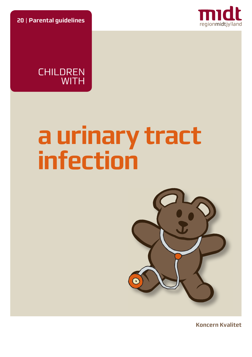**20** | **Parental guidelines**





# **a urinary tract infection**



**Koncern Kvalitet**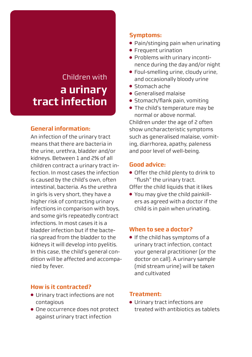# Children with **a urinary tract infection**

# **General information:**

An infection of the urinary tract means that there are bacteria in the urine, urethra, bladder and/or kidneys. Between 1 and 2% of all children contract a urinary tract infection. In most cases the infection is caused by the child's own, often intestinal, bacteria. As the urethra in girls is very short, they have a higher risk of contracting urinary infections in comparison with boys, and some girls repeatedly contract infections. In most cases it is a bladder infection but if the bacteria spread from the bladder to the kidneys it will develop into pyelitis. In this case, the child's general condition will be affected and accompanied by fever.

# **How is it contracted?**

- Urinary tract infections are not contagious
- One occurrence does not protect against urinary tract infection

### **Symptoms:**

- Pain/stinging pain when urinating
- Frequent urination
- Problems with urinary incontinence during the day and/or night
- Foul-smelling urine, cloudy urine, and occasionally bloody urine
- Stomach ache
- Generalised malaise
- Stomach/flank pain, vomiting
- The child's temperature may be normal or above normal.

Children under the age of 2 often show uncharacteristic symptoms such as generalised malaise, vomiting, diarrhorea, apathy, paleness and poor level of well-being.

# **Good advice:**

- Offer the child plenty to drink to "flush" the urinary tract.
- Offer the child liquids that it likes
- You may give the child painkillers as agreed with a doctor if the child is in pain when urinating.

#### **When to see a doctor?**

● If the child has symptoms of a urinary tract infection, contact your general practitioner (or the doctor on call). A urinary sample (mid stream urine) will be taken and cultivated

#### **Treatment:**

● Urinary tract infections are treated with antibiotics as tablets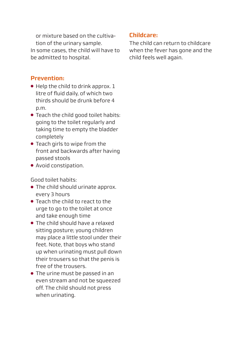or mixture based on the cultivation of the urinary sample. In some cases, the child will have to be admitted to hospital.

# **Prevention:**

- $\bullet$  Help the child to drink approx.  $1$ litre of fluid daily, of which two thirds should be drunk before 4 p.m.
- Teach the child good toilet habits: going to the toilet regularly and taking time to empty the bladder completely
- Teach girls to wipe from the front and backwards after having passed stools
- Avoid constipation.

Good toilet habits:

- The child should urinate approx. every 3 hours
- Teach the child to react to the urge to go to the toilet at once and take enough time
- The child should have a relaxed sitting posture; young children may place a little stool under their feet. Note, that boys who stand up when urinating must pull down their trousers so that the penis is free of the trousers.
- The urine must be passed in an even stream and not be squeezed off. The child should not press when urinating.

# **Childcare:**

The child can return to childcare when the fever has gone and the child feels well again.